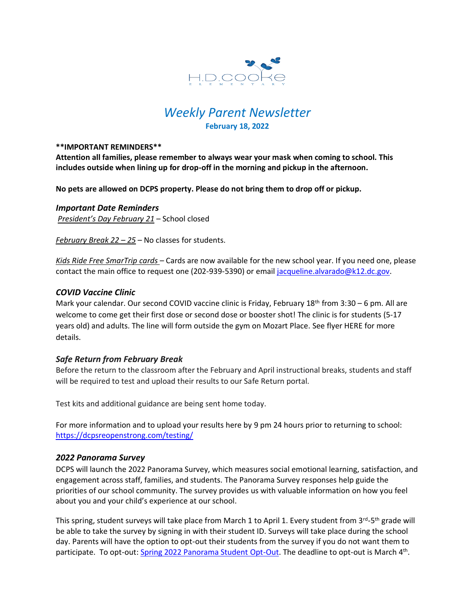

# *Weekly Parent Newsletter* **February 18, 2022**

#### **\*\*IMPORTANT REMINDERS\*\***

**Attention all families, please remember to always wear your mask when coming to school. This includes outside when lining up for drop-off in the morning and pickup in the afternoon.** 

**No pets are allowed on DCPS property. Please do not bring them to drop off or pickup.** 

*Important Date Reminders President's Day February 21* – School closed

*February Break 22 – 25* – No classes for students.

*Kids Ride Free SmarTrip cards* – Cards are now available for the new school year. If you need one, please contact the main office to request one (202-939-5390) or email [jacqueline.alvarado@k12.dc.gov.](mailto:jacqueline.alvarado@k12.dc.gov)

### *COVID Vaccine Clinic*

Mark your calendar. Our second COVID vaccine clinic is Friday, February 18<sup>th</sup> from 3:30 - 6 pm. All are welcome to come get their first dose or second dose or booster shot! The clinic is for students (5-17 years old) and adults. The line will form outside the gym on Mozart Place. See flyer HERE for more details.

#### *Safe Return from February Break*

Before the return to the classroom after the February and April instructional breaks, students and staff will be required to test and upload their results to our Safe Return portal.

Test kits and additional guidance are being sent home today.

For more information and to upload your results here by 9 pm 24 hours prior to returning to school: <https://dcpsreopenstrong.com/testing/>

#### *2022 Panorama Survey*

DCPS will launch the 2022 Panorama Survey, which measures social emotional learning, satisfaction, and engagement across staff, families, and students. The Panorama Survey responses help guide the priorities of our school community. The survey provides us with valuable information on how you feel about you and your child's experience at our school.

This spring, student surveys will take place from March 1 to April 1. Every student from 3<sup>rd</sup>-5<sup>th</sup> grade will be able to take the survey by signing in with their student ID. Surveys will take place during the school day. Parents will have the option to opt-out their students from the survey if you do not want them to participate. To opt-out: [Spring 2022 Panorama Student Opt-Out.](https://forms.office.com/Pages/ResponsePage.aspx?id=7kagKk6zM0qSt5md8rwKMnl92U_Bk79Onv_VE4SBAa9UMTAyTEZNTUZKS1E3MjdYQ0NDR0NHVkFETSQlQCN0PWcu) The deadline to opt-out is March 4<sup>th</sup>.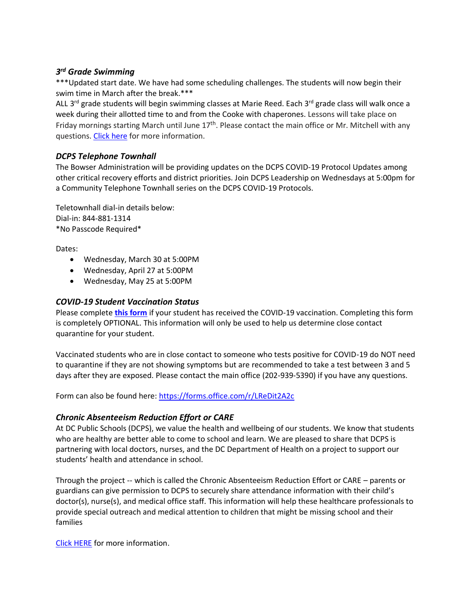# *3 rd Grade Swimming*

\*\*\*Updated start date. We have had some scheduling challenges. The students will now begin their swim time in March after the break.\*\*\*

ALL 3<sup>rd</sup> grade students will begin swimming classes at Marie Reed. Each 3<sup>rd</sup> grade class will walk once a week during their allotted time to and from the Cooke with chaperones. Lessons will take place on Friday mornings starting March until June 17<sup>th</sup>. Please contact the main office or Mr. Mitchell with any questions[. Click here](https://www.hdcookeschool.org/newsletters) for more information.

# *DCPS Telephone Townhall*

The Bowser Administration will be providing updates on the DCPS COVID-19 Protocol Updates among other critical recovery efforts and district priorities. Join DCPS Leadership on Wednesdays at 5:00pm for a Community Telephone Townhall series on the DCPS COVID-19 Protocols.

Teletownhall dial-in details below: Dial-in: 844-881-1314 \*No Passcode Required\*

Dates:

- Wednesday, March 30 at 5:00PM
- Wednesday, April 27 at 5:00PM
- Wednesday, May 25 at 5:00PM

# *COVID-19 Student Vaccination Status*

Please complete **[this form](https://forms.office.com/r/LReDit2A2c)** if your student has received the COVID-19 vaccination. Completing this form is completely OPTIONAL. This information will only be used to help us determine close contact quarantine for your student.

Vaccinated students who are in close contact to someone who tests positive for COVID-19 do NOT need to quarantine if they are not showing symptoms but are recommended to take a test between 3 and 5 days after they are exposed. Please contact the main office (202-939-5390) if you have any questions.

Form can also be found here:<https://forms.office.com/r/LReDit2A2c>

# *Chronic Absenteeism Reduction Effort or CARE*

At DC Public Schools (DCPS), we value the health and wellbeing of our students. We know that students who are healthy are better able to come to school and learn. We are pleased to share that DCPS is partnering with local doctors, nurses, and the DC Department of Health on a project to support our students' health and attendance in school.

Through the project -- which is called the Chronic Absenteeism Reduction Effort or CARE – parents or guardians can give permission to DCPS to securely share attendance information with their child's doctor(s), nurse(s), and medical office staff. This information will help these healthcare professionals to provide special outreach and medical attention to children that might be missing school and their families

[Click HERE](https://dcps.dc.gov/sites/default/files/dc/sites/dcps/page_content/attachments/CARE_Enrollment_packet_-_ENGLISH.pdf) for more information.